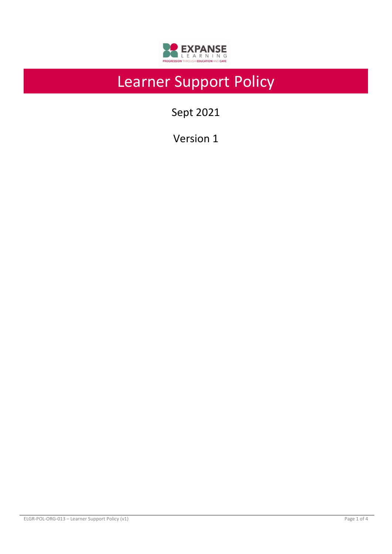

# Learner Support Policy

Sept 2021

Version 1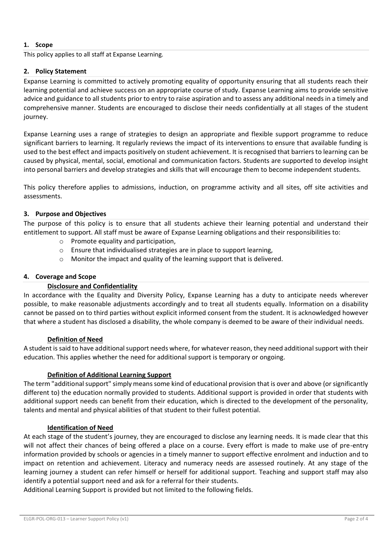# **1. Scope**

This policy applies to all staff at Expanse Learning.

# **2. Policy Statement**

Expanse Learning is committed to actively promoting equality of opportunity ensuring that all students reach their learning potential and achieve success on an appropriate course of study. Expanse Learning aims to provide sensitive advice and guidance to all students prior to entry to raise aspiration and to assess any additional needs in a timely and comprehensive manner. Students are encouraged to disclose their needs confidentially at all stages of the student journey.

Expanse Learning uses a range of strategies to design an appropriate and flexible support programme to reduce significant barriers to learning. It regularly reviews the impact of its interventions to ensure that available funding is used to the best effect and impacts positively on student achievement. It is recognised that barriers to learning can be caused by physical, mental, social, emotional and communication factors. Students are supported to develop insight into personal barriers and develop strategies and skills that will encourage them to become independent students.

This policy therefore applies to admissions, induction, on programme activity and all sites, off site activities and assessments.

## **3. Purpose and Objectives**

The purpose of this policy is to ensure that all students achieve their learning potential and understand their entitlement to support. All staff must be aware of Expanse Learning obligations and their responsibilities to:

- o Promote equality and participation,
- o Ensure that individualised strategies are in place to support learning,
- o Monitor the impact and quality of the learning support that is delivered.

### **4. Coverage and Scope**

#### **Disclosure and Confidentiality**

In accordance with the Equality and Diversity Policy, Expanse Learning has a duty to anticipate needs wherever possible, to make reasonable adjustments accordingly and to treat all students equally. Information on a disability cannot be passed on to third parties without explicit informed consent from the student. It is acknowledged however that where a student has disclosed a disability, the whole company is deemed to be aware of their individual needs.

#### **Definition of Need**

A student is said to have additional support needs where, for whatever reason, they need additional support with their education. This applies whether the need for additional support is temporary or ongoing.

#### **Definition of Additional Learning Support**

The term "additional support" simply means some kind of educational provision that is over and above (or significantly different to) the education normally provided to students. Additional support is provided in order that students with additional support needs can benefit from their education, which is directed to the development of the personality, talents and mental and physical abilities of that student to their fullest potential.

#### **Identification of Need**

At each stage of the student's journey, they are encouraged to disclose any learning needs. It is made clear that this will not affect their chances of being offered a place on a course. Every effort is made to make use of pre-entry information provided by schools or agencies in a timely manner to support effective enrolment and induction and to impact on retention and achievement. Literacy and numeracy needs are assessed routinely. At any stage of the learning journey a student can refer himself or herself for additional support. Teaching and support staff may also identify a potential support need and ask for a referral for their students.

Additional Learning Support is provided but not limited to the following fields.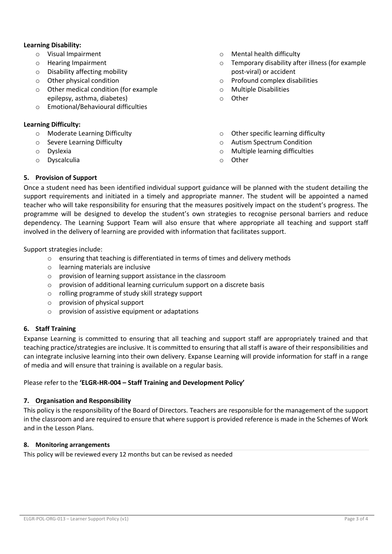### **Learning Disability:**

- o Visual Impairment
- o Hearing Impairment
- o Disability affecting mobility
- o Other physical condition
- o Other medical condition (for example epilepsy, asthma, diabetes)
- o Emotional/Behavioural difficulties

#### **Learning Difficulty:**

- o Moderate Learning Difficulty
- o Severe Learning Difficulty
- o Dyslexia
- o Dyscalculia
- o Mental health difficulty
- o Temporary disability after illness (for example post-viral) or accident
- o Profound complex disabilities
- o Multiple Disabilities
- o Other
- o Other specific learning difficulty
- o Autism Spectrum Condition
- o Multiple learning difficulties
- o Other

#### **5. Provision of Support**

Once a student need has been identified individual support guidance will be planned with the student detailing the support requirements and initiated in a timely and appropriate manner. The student will be appointed a named teacher who will take responsibility for ensuring that the measures positively impact on the student's progress. The programme will be designed to develop the student's own strategies to recognise personal barriers and reduce dependency. The Learning Support Team will also ensure that where appropriate all teaching and support staff involved in the delivery of learning are provided with information that facilitates support.

Support strategies include:

- $\circ$  ensuring that teaching is differentiated in terms of times and delivery methods
- o learning materials are inclusive
- o provision of learning support assistance in the classroom
- o provision of additional learning curriculum support on a discrete basis
- o rolling programme of study skill strategy support
- o provision of physical support
- o provision of assistive equipment or adaptations

#### **6. Staff Training**

Expanse Learning is committed to ensuring that all teaching and support staff are appropriately trained and that teaching practice/strategies are inclusive. It is committed to ensuring that all staff is aware of their responsibilities and can integrate inclusive learning into their own delivery. Expanse Learning will provide information for staff in a range of media and will ensure that training is available on a regular basis.

#### Please refer to the **'ELGR-HR-004 – Staff Training and Development Policy'**

#### **7. Organisation and Responsibility**

This policy is the responsibility of the Board of Directors. Teachers are responsible for the management of the support in the classroom and are required to ensure that where support is provided reference is made in the Schemes of Work and in the Lesson Plans.

#### **8. Monitoring arrangements**

This policy will be reviewed every 12 months but can be revised as needed